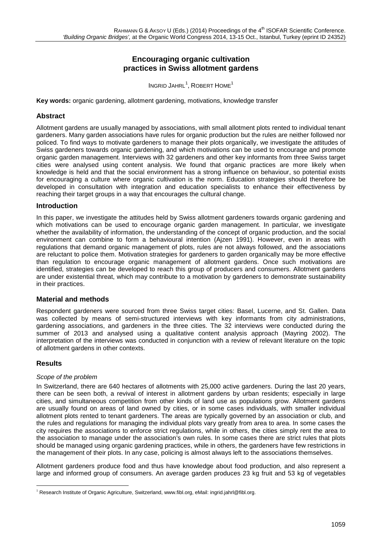# **Encouraging organic cultivation practices in Swiss allotment gardens**

 $InGRID JAHRL<sup>1</sup>, ROBERT HOME<sup>1</sup>$  $InGRID JAHRL<sup>1</sup>, ROBERT HOME<sup>1</sup>$  $InGRID JAHRL<sup>1</sup>, ROBERT HOME<sup>1</sup>$ 

**Key words:** organic gardening, allotment gardening, motivations, knowledge transfer

## **Abstract**

Allotment gardens are usually managed by associations, with small allotment plots rented to individual tenant gardeners. Many garden associations have rules for organic production but the rules are neither followed nor policed. To find ways to motivate gardeners to manage their plots organically, we investigate the attitudes of Swiss gardeners towards organic gardening, and which motivations can be used to encourage and promote organic garden management. Interviews with 32 gardeners and other key informants from three Swiss target cities were analysed using content analysis. We found that organic practices are more likely when knowledge is held and that the social environment has a strong influence on behaviour, so potential exists for encouraging a culture where organic cultivation is the norm. Education strategies should therefore be developed in consultation with integration and education specialists to enhance their effectiveness by reaching their target groups in a way that encourages the cultural change.

## **Introduction**

In this paper, we investigate the attitudes held by Swiss allotment gardeners towards organic gardening and which motivations can be used to encourage organic garden management. In particular, we investigate whether the availability of information, the understanding of the concept of organic production, and the social environment can combine to form a behavioural intention (Ajzen 1991). However, even in areas with regulations that demand organic management of plots, rules are not always followed, and the associations are reluctant to police them. Motivation strategies for gardeners to garden organically may be more effective than regulation to encourage organic management of allotment gardens. Once such motivations are identified, strategies can be developed to reach this group of producers and consumers. Allotment gardens are under existential threat, which may contribute to a motivation by gardeners to demonstrate sustainability in their practices.

## **Material and methods**

Respondent gardeners were sourced from three Swiss target cities: Basel, Lucerne, and St. Gallen. Data was collected by means of semi-structured interviews with key informants from city administrations, gardening associations, and gardeners in the three cities. The 32 interviews were conducted during the summer of 2013 and analysed using a qualitative content analysis approach (Mayring 2002). The interpretation of the interviews was conducted in conjunction with a review of relevant literature on the topic of allotment gardens in other contexts.

## **Results**

#### *Scope of the problem*

In Switzerland, there are 640 hectares of allotments with 25,000 active gardeners. During the last 20 years, there can be seen both, a revival of interest in allotment gardens by urban residents; especially in large cities, and simultaneous competition from other kinds of land use as populations grow. Allotment gardens are usually found on areas of land owned by cities, or in some cases individuals, with smaller individual allotment plots rented to tenant gardeners. The areas are typically governed by an association or club, and the rules and regulations for managing the individual plots vary greatly from area to area. In some cases the city requires the associations to enforce strict regulations, while in others, the cities simply rent the area to the association to manage under the association's own rules. In some cases there are strict rules that plots should be managed using organic gardening practices, while in others, the gardeners have few restrictions in the management of their plots. In any case, policing is almost always left to the associations themselves.

Allotment gardeners produce food and thus have knowledge about food production, and also represent a large and informed group of consumers. An average garden produces 23 kg fruit and 53 kg of vegetables

<span id="page-0-0"></span> <sup>1</sup> Research Institute of Organic Agriculture, Switzerland[, www.fibl.org,](http://www.fibl.org/) eMail[: ingrid.jahrl@fibl.org.](mailto:ingrid.jahrl@fibl.org)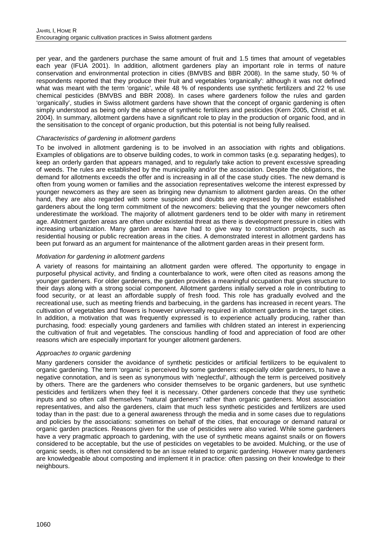per year, and the gardeners purchase the same amount of fruit and 1.5 times that amount of vegetables each year (IFUA 2001). In addition, allotment gardeners play an important role in terms of nature conservation and environmental protection in cities (BMVBS and BBR 2008). In the same study, 50 % of respondents reported that they produce their fruit and vegetables 'organically': although it was not defined what was meant with the term 'organic', while 48 % of respondents use synthetic fertilizers and 22 % use chemical pesticides (BMVBS and BBR 2008). In cases where gardeners follow the rules and garden 'organically', studies in Swiss allotment gardens have shown that the concept of organic gardening is often simply understood as being only the absence of synthetic fertilizers and pesticides (Kern 2005, Christl et al. 2004). In summary, allotment gardens have a significant role to play in the production of organic food, and in the sensitisation to the concept of organic production, but this potential is not being fully realised.

## *Characteristics of gardening in allotment gardens*

To be involved in allotment gardening is to be involved in an association with rights and obligations. Examples of obligations are to observe building codes, to work in common tasks (e.g. separating hedges), to keep an orderly garden that appears managed, and to regularly take action to prevent excessive spreading of weeds. The rules are established by the municipality and/or the association. Despite the obligations, the demand for allotments exceeds the offer and is increasing in all of the case study cities. The new demand is often from young women or families and the association representatives welcome the interest expressed by younger newcomers as they are seen as bringing new dynamism to allotment garden areas. On the other hand, they are also regarded with some suspicion and doubts are expressed by the older established gardeners about the long term commitment of the newcomers: believing that the younger newcomers often underestimate the workload. The majority of allotment gardeners tend to be older with many in retirement age. Allotment garden areas are often under existential threat as there is development pressure in cities with increasing urbanization. Many garden areas have had to give way to construction projects, such as residential housing or public recreation areas in the cities. A demonstrated interest in allotment gardens has been put forward as an argument for maintenance of the allotment garden areas in their present form.

#### *Motivation for gardening in allotment gardens*

A variety of reasons for maintaining an allotment garden were offered. The opportunity to engage in purposeful physical activity, and finding a counterbalance to work, were often cited as reasons among the younger gardeners. For older gardeners, the garden provides a meaningful occupation that gives structure to their days along with a strong social component. Allotment gardens initially served a role in contributing to food security, or at least an affordable supply of fresh food. This role has gradually evolved and the recreational use, such as meeting friends and barbecuing, in the gardens has increased in recent years. The cultivation of vegetables and flowers is however universally required in allotment gardens in the target cities. In addition, a motivation that was frequently expressed is to experience actually producing, rather than purchasing, food: especially young gardeners and families with children stated an interest in experiencing the cultivation of fruit and vegetables. The conscious handling of food and appreciation of food are other reasons which are especially important for younger allotment gardeners.

## *Approaches to organic gardening*

Many gardeners consider the avoidance of synthetic pesticides or artificial fertilizers to be equivalent to organic gardening. The term 'organic' is perceived by some gardeners: especially older gardeners, to have a negative connotation, and is seen as synonymous with 'neglectful', although the term is perceived positively by others. There are the gardeners who consider themselves to be organic gardeners, but use synthetic pesticides and fertilizers when they feel it is necessary. Other gardeners concede that they use synthetic inputs and so often call themselves "natural gardeners" rather than organic gardeners. Most association representatives, and also the gardeners, claim that much less synthetic pesticides and fertilizers are used today than in the past: due to a general awareness through the media and in some cases due to regulations and policies by the associations: sometimes on behalf of the cities, that encourage or demand natural or organic garden practices. Reasons given for the use of pesticides were also varied. While some gardeners have a very pragmatic approach to gardening, with the use of synthetic means against snails or on flowers considered to be acceptable, but the use of pesticides on vegetables to be avoided. Mulching, or the use of organic seeds, is often not considered to be an issue related to organic gardening. However many gardeners are knowledgeable about composting and implement it in practice: often passing on their knowledge to their neighbours.